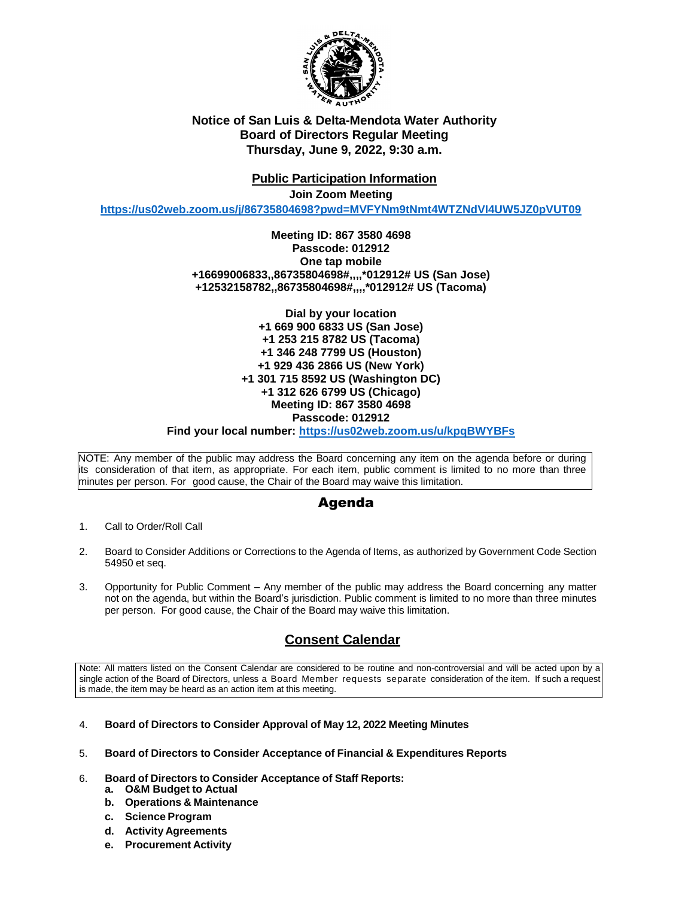

## **Notice of San Luis & Delta-Mendota Water Authority Board of Directors Regular Meeting Thursday, June 9, 2022, 9:30 a.m.**

## **Public Participation Information**

**Join Zoom Meeting**

**<https://us02web.zoom.us/j/86735804698?pwd=MVFYNm9tNmt4WTZNdVI4UW5JZ0pVUT09>**

### **Meeting ID: 867 3580 4698 Passcode: 012912 One tap mobile +16699006833,,86735804698#,,,,\*012912# US (San Jose) +12532158782,,86735804698#,,,,\*012912# US (Tacoma)**

**Dial by your location +1 669 900 6833 US (San Jose) +1 253 215 8782 US (Tacoma) +1 346 248 7799 US (Houston) +1 929 436 2866 US (New York) +1 301 715 8592 US (Washington DC) +1 312 626 6799 US (Chicago) Meeting ID: 867 3580 4698 Passcode: 012912**

**Find your local number: <https://us02web.zoom.us/u/kpqBWYBFs>**

NOTE: Any member of the public may address the Board concerning any item on the agenda before or during its consideration of that item, as appropriate. For each item, public comment is limited to no more than three minutes per person. For good cause, the Chair of the Board may waive this limitation.

# Agenda

- 1. Call to Order/Roll Call
- 2. Board to Consider Additions or Corrections to the Agenda of Items, as authorized by Government Code Section 54950 et seq.
- 3. Opportunity for Public Comment Any member of the public may address the Board concerning any matter not on the agenda, but within the Board's jurisdiction. Public comment is limited to no more than three minutes per person. For good cause, the Chair of the Board may waive this limitation.

# **Consent Calendar**

Note: All matters listed on the Consent Calendar are considered to be routine and non-controversial and will be acted upon by a single action of the Board of Directors, unless a Board Member requests separate consideration of the item. If such a request is made, the item may be heard as an action item at this meeting.

- 4. **Board of Directors to Consider Approval of May 12, 2022 Meeting Minutes**
- 5. **Board of Directors to Consider Acceptance of Financial & Expenditures Reports**
- 6. **Board of Directors to Consider Acceptance of Staff Reports:**
	- **a. O&M Budget to Actual**
	- **b. Operations & Maintenance**
	- **c. Science Program**
	- **d. Activity Agreements**
	- **e. Procurement Activity**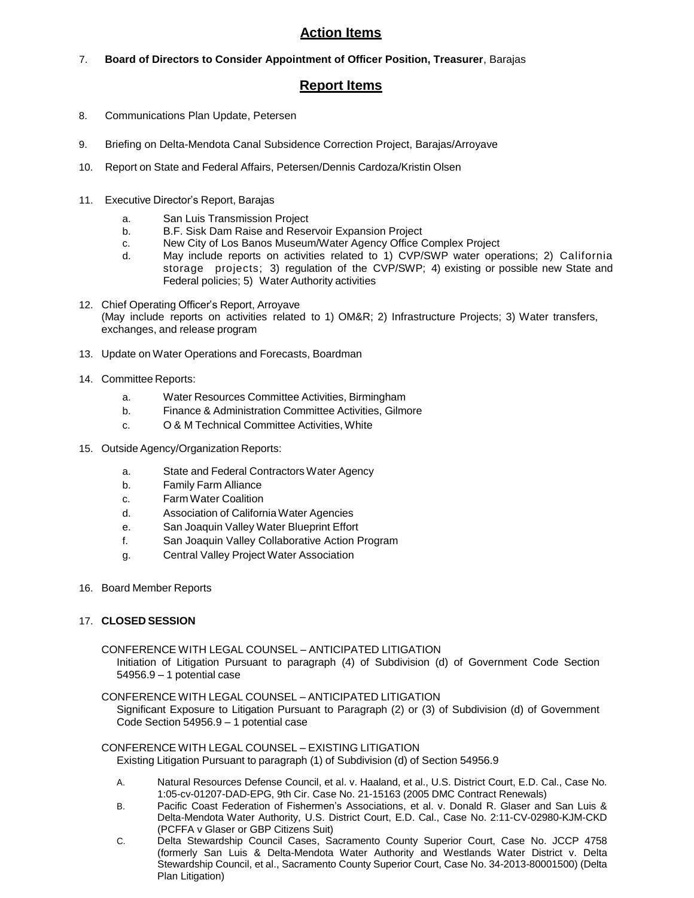# **Action Items**

7. **Board of Directors to Consider Appointment of Officer Position, Treasurer**, Barajas

## **Report Items**

- 8. Communications Plan Update, Petersen
- 9. Briefing on Delta-Mendota Canal Subsidence Correction Project, Barajas/Arroyave
- 10. Report on State and Federal Affairs, Petersen/Dennis Cardoza/Kristin Olsen
- 11. Executive Director's Report, Barajas
	- a. San Luis Transmission Project
	- b. B.F. Sisk Dam Raise and Reservoir Expansion Project
	- c. New City of Los Banos Museum/Water Agency Office Complex Project
	- d. May include reports on activities related to 1) CVP/SWP water operations; 2) California storage projects; 3) regulation of the CVP/SWP; 4) existing or possible new State and Federal policies; 5) Water Authority activities
- 12. Chief Operating Officer's Report, Arroyave (May include reports on activities related to 1) OM&R; 2) Infrastructure Projects; 3) Water transfers, exchanges, and release program
- 13. Update on Water Operations and Forecasts, Boardman
- 14. Committee Reports:
	- a. Water Resources Committee Activities, Birmingham
	- b. Finance & Administration Committee Activities, Gilmore
	- c. O & M Technical Committee Activities, White
- 15. Outside Agency/Organization Reports:
	- a. State and Federal Contractors Water Agency
	- b. Family Farm Alliance
	- c. FarmWater Coalition
	- d. Association of CaliforniaWater Agencies
	- e. San Joaquin Valley Water Blueprint Effort
	- f. San Joaquin Valley Collaborative Action Program
	- g. Central Valley Project Water Association
- 16. Board Member Reports

#### 17. **CLOSED SESSION**

CONFERENCE WITH LEGAL COUNSEL – ANTICIPATED LITIGATION Initiation of Litigation Pursuant to paragraph (4) of Subdivision (d) of Government Code Section 54956.9 – 1 potential case

CONFERENCE WITH LEGAL COUNSEL – ANTICIPATED LITIGATION

Significant Exposure to Litigation Pursuant to Paragraph (2) or (3) of Subdivision (d) of Government Code Section 54956.9 – 1 potential case

#### CONFERENCE WITH LEGAL COUNSEL – EXISTING LITIGATION Existing Litigation Pursuant to paragraph (1) of Subdivision (d) of Section 54956.9

- A. Natural Resources Defense Council, et al. v. Haaland, et al., U.S. District Court, E.D. Cal., Case No. 1:05-cv-01207-DAD-EPG, 9th Cir. Case No. 21-15163 (2005 DMC Contract Renewals)
- B. Pacific Coast Federation of Fishermen's Associations, et al. v. Donald R. Glaser and San Luis & Delta-Mendota Water Authority, U.S. District Court, E.D. Cal., Case No. 2:11-CV-02980-KJM-CKD (PCFFA v Glaser or GBP Citizens Suit)
- C. Delta Stewardship Council Cases, Sacramento County Superior Court, Case No. JCCP 4758 (formerly San Luis & Delta-Mendota Water Authority and Westlands Water District v. Delta Stewardship Council, et al., Sacramento County Superior Court, Case No. 34-2013-80001500) (Delta Plan Litigation)